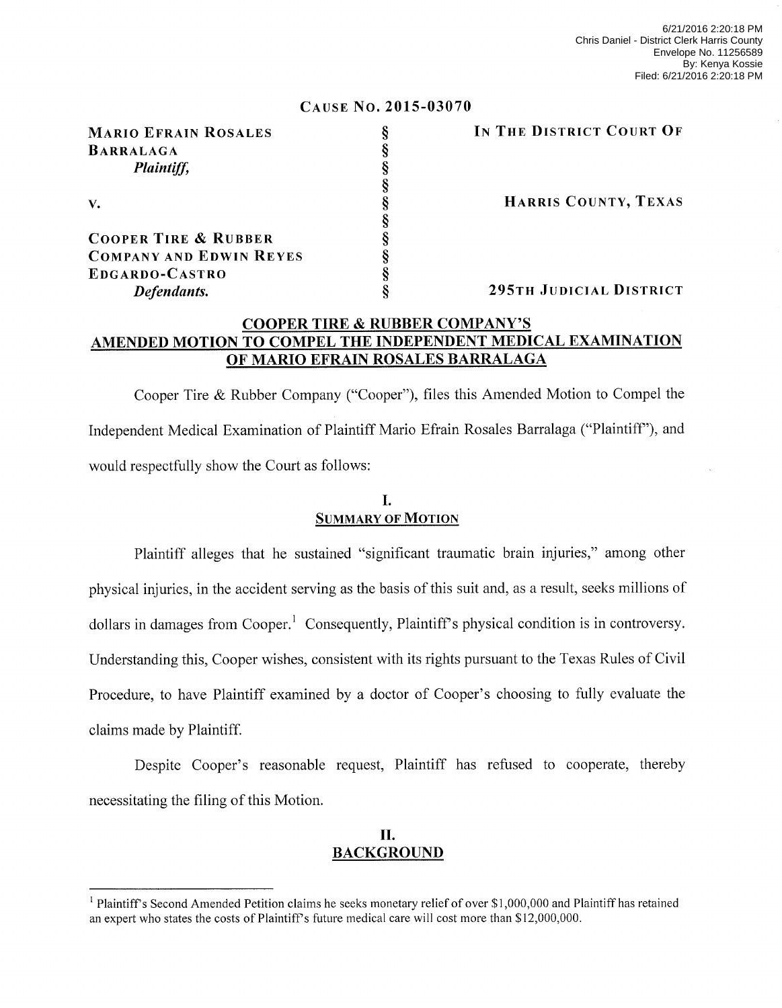| CAUSE NO. 2015-03070 |  |
|----------------------|--|
|----------------------|--|

| <b>MARIO EFRAIN ROSALES</b>     | IN THE DISTRICT COURT OF |
|---------------------------------|--------------------------|
| <b>BARRALAGA</b>                |                          |
| Plaintiff,                      |                          |
|                                 |                          |
| $\mathbf{V}_{\bullet}$          | HARRIS COUNTY, TEXAS     |
|                                 |                          |
| <b>COOPER TIRE &amp; RUBBER</b> |                          |
| <b>COMPANY AND EDWIN REYES</b>  |                          |
| EDGARDO-CASTRO                  |                          |
| Defendants.                     | 295TH JUDICIAL DISTRICT  |

## COOPER TIRE & RUBBER COMPANY'S AMENDED MOTION TO COMPEL THE INDEPENDENT MEDICAL EXAMINATION OF MARIO EFRAIN ROSALES BARRALAGA

Cooper Tire & Rubber Company ("Cooper"), files this Amended Motion to Compel the Independent Medical Examination of Plaintiff Mario Efrain Rosales Barralaga ("Plaintiff'), and would respectfully show the Court as follows:

## I. SUMMARY OF MOTION

Plaintiff alleges that he sustained "significant traumatic brain injuries," among other physical injuries, in the accident serving as the basis of this suit and, as a result, seeks millions of dollars in damages from Cooper.<sup>1</sup> Consequently, Plaintiff's physical condition is in controversy. Understanding this, Cooper wishes, consistent with its rights pursuant to the Texas Rules of Civil Procedure, to have Plaintiff examined by a doctor of Cooper's choosing to fully evaluate the claims made by Plaintiff.

Despite Cooper's reasonable request, Plaintiff has refused to cooperate, thereby necessitating the filing of this Motion.

## IL BACKGROUND

<sup>&</sup>lt;sup>1</sup> Plaintiff's Second Amended Petition claims he seeks monetary relief of over \$1,000,000 and Plaintiff has retained an expert who states the costs of Plaintiff's future medical care will cost more than \$12,000,000.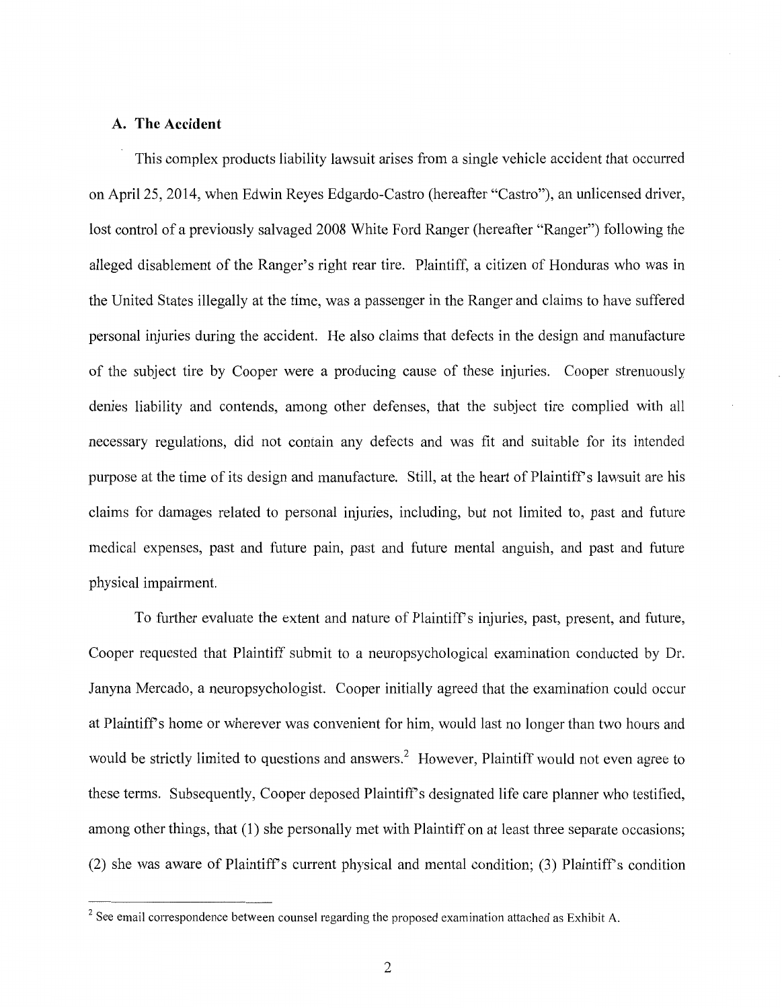### A. The Accident

This complex products liability lawsuit arises from a single vehicle accident that occurred on April 25, 2014, when Edwin Reyes Edgardo-Castro (hereafter "Castro"), an unlicensed driver, lost control of a previously salvaged 2008 White Ford Ranger (hereafter "Ranger") following the alleged disablement of the Ranger's right rear tire. Plaintiff, a citizen of Honduras who was in the United States illegally at the time, was a passenger in the Ranger and claims to have suffered personal injuries during the accident. He also claims that defects in the design and manufacture of the subject tire by Cooper were a producing cause of these injuries. Cooper strenuously denies liability and contends, among other defenses, that the subject tire complied with all necessary regulations, did not contain any defects and was fit and suitable for its intended purpose at the time of its design and manufacture. Still, at the heart of Plaintiff's lawsuit are his claims for damages related to personal injuries, including, but not limited to, past and future medical expenses, past and future pain, past and future mental anguish, and past and future physical impairment.

To further evaluate the extent and nature of Plaintiff's injuries, past, present, and future, Cooper requested that Plaintiff submit to a neuropsychological examination conducted by Dr. Janyna Mercado, a neuropsychologist. Cooper initially agreed that the examination could occur at Plaintiff's home or wherever was convenient for him, would last no longer than two hours and would be strictly limited to questions and answers.<sup>2</sup> However, Plaintiff would not even agree to these terms. Subsequently, Cooper deposed Plaintiff's designated life care planner who testified, among other things, that (1) she personally met with Plaintiff on at least three separate occasions; (2) she was aware of Plaintiff's current physical and mental condition; (3) Plaintiff's condition

 $2$  See email correspondence between counsel regarding the proposed examination attached as Exhibit A.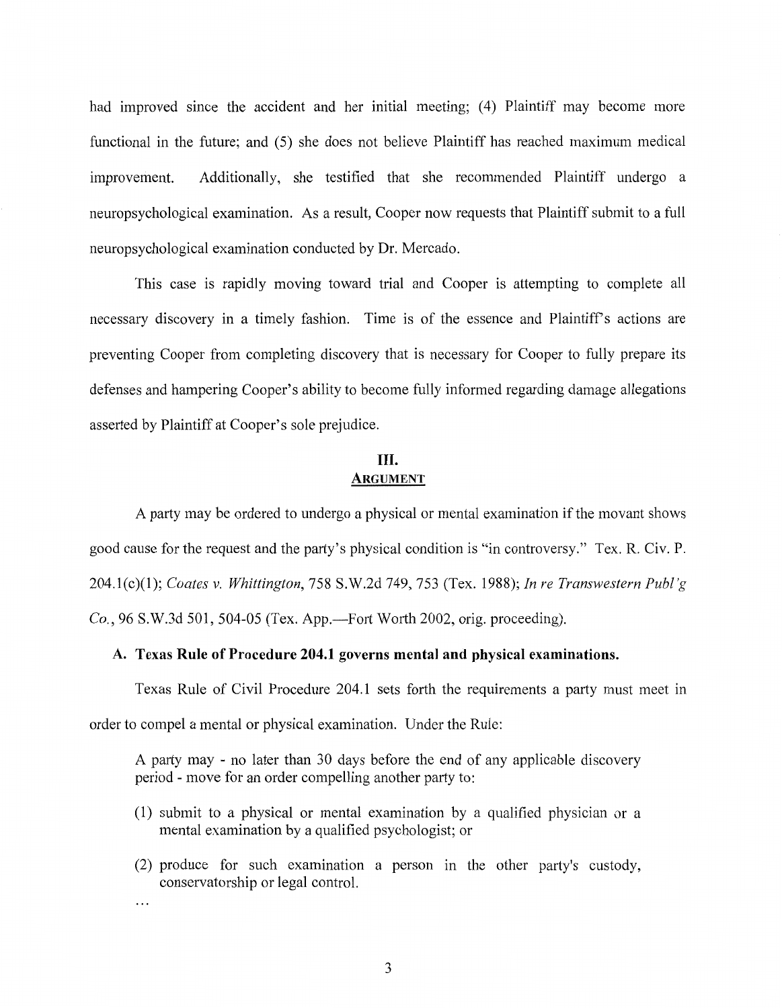had improved since the accident and her initial meeting; (4) Plaintiff may become more functional in the future; and (5) she does not believe Plaintiff has reached maximum medical improvement. Additionally, she testified that she recommended Plaintiff undergo a neuropsychological examination. As a result, Cooper now requests that Plaintiff submit to a full neuropsychological examination conducted by Dr. Mercado.

This case is rapidly moving toward trial and Cooper is attempting to complete all necessary discovery in a timely fashion. Time is of the essence and Plaintiff's actions are preventing Cooper from completing discovery that is necessary for Cooper to fully prepare its defenses and hampering Cooper's ability to become fully informed regarding damage allegations asserted by Plaintiff at Cooper's sole prejudice.

## III. ARGUMENT

A party may be ordered to undergo a physical or mental examination if the movant shows good cause for the request and the party's physical condition is "in controversy." Tex. R. Civ. P. 204.1(c)(1); *Coates v. Whittington,* 758 S.W.2d 749, 753 (Tex. 1988); *In re Transwestern Publ'g Co.,* 96 S.W.3d 501, 504-05 (Tex. App.—Fort Worth 2002, orig. proceeding).

## A. Texas Rule of Procedure 204.1 governs mental and physical examinations.

Texas Rule of Civil Procedure 204.1 sets forth the requirements a party must meet in order to compel a mental or physical examination. Under the Rule:

A party may - no later than 30 days before the end of any applicable discovery period - move for an order compelling another party to:

- (1) submit to a physical or mental examination by a qualified physician or a mental examination by a qualified psychologist; or
- (2) produce for such examination a person in the other party's custody, conservatorship or legal control.

. . .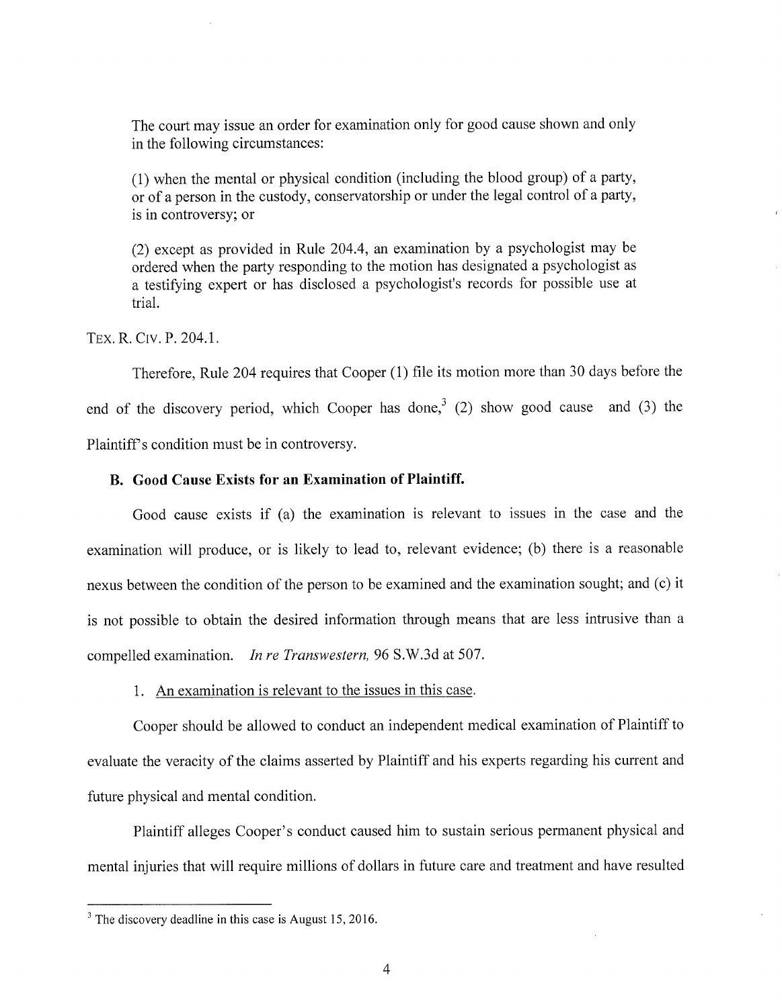The court may issue an order for examination only for good cause shown and only in the following circumstances:

(1) when the mental or physical condition (including the blood group) of a party, or of a person in the custody, conservatorship or under the legal control of a party, is in controversy; or

(2) except as provided in Rule 204.4, an examination by a psychologist may be ordered when the party responding to the motion has designated a psychologist as a testifying expert or has disclosed a psychologist's records for possible use at trial.

TEX. R. Civ. P. 204.1.

Therefore, Rule 204 requires that Cooper (1) file its motion more than 30 days before the end of the discovery period, which Cooper has done,<sup>3</sup> (2) show good cause and (3) the Plaintiff's condition must be in controversy.

### **B. Good Cause Exists for an Examination of Plaintiff.**

Good cause exists if (a) the examination is relevant to issues in the case and the examination will produce, or is likely to lead to, relevant evidence; (b) there is a reasonable nexus between the condition of the person to be examined and the examination sought; and (c) it is not possible to obtain the desired information through means that are less intrusive than a compelled examination. *In re Transwestern,* 96 S.W.3d at 507.

#### 1. An examination is relevant to the issues in this case.

Cooper should be allowed to conduct an independent medical examination of Plaintiff to evaluate the veracity of the claims asserted by Plaintiff and his experts regarding his current and future physical and mental condition.

Plaintiff alleges Cooper's conduct caused him to sustain serious permanent physical and mental injuries that will require millions of dollars in future care and treatment and have resulted

 $3$  The discovery deadline in this case is August 15, 2016.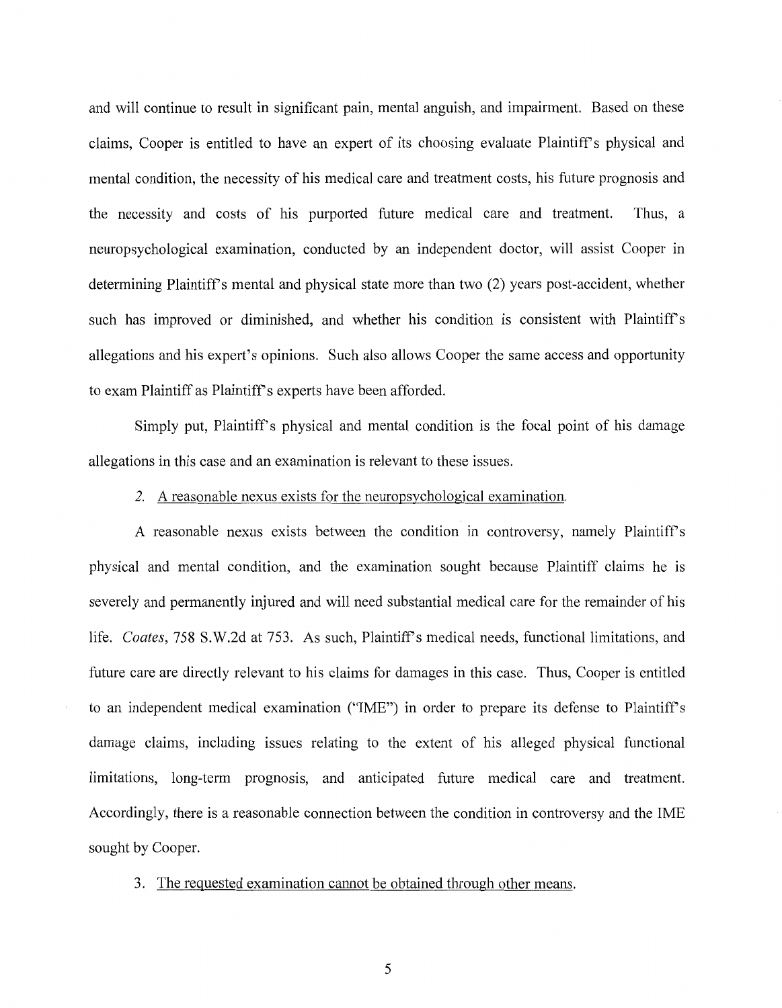and will continue to result in significant pain, mental anguish, and impairment. Based on these claims, Cooper is entitled to have an expert of its choosing evaluate Plaintiff's physical and mental condition, the necessity of his medical care and treatment costs, his future prognosis and the necessity and costs of his purported future medical care and treatment. Thus, a neuropsychological examination, conducted by an independent doctor, will assist Cooper in determining Plaintiff's mental and physical state more than two (2) years post-accident, whether such has improved or diminished, and whether his condition is consistent with Plaintiff's allegations and his expert's opinions. Such also allows Cooper the same access and opportunity to exam Plaintiff as Plaintiff's experts have been afforded.

Simply put, Plaintiff's physical and mental condition is the focal point of his damage allegations in this case and an examination is relevant to these issues.

### 2. A reasonable nexus exists for the neuropsychological examination.

A reasonable nexus exists between the condition in controversy, namely Plaintiff's physical and mental condition, and the examination sought because Plaintiff claims he is severely and permanently injured and will need substantial medical care for the remainder of his life. *Coates,* 758 S.W.2d at 753. As such, Plaintiff's medical needs, functional limitations, and future care are directly relevant to his claims for damages in this case. Thus, Cooper is entitled to an independent medical examination ("IME") in order to prepare its defense to Plaintiff's damage claims, including issues relating to the extent of his alleged physical functional limitations, long-term prognosis, and anticipated future medical care and treatment. Accordingly, there is a reasonable connection between the condition in controversy and the IME sought by Cooper.

3. The requested examination cannot be obtained through other means.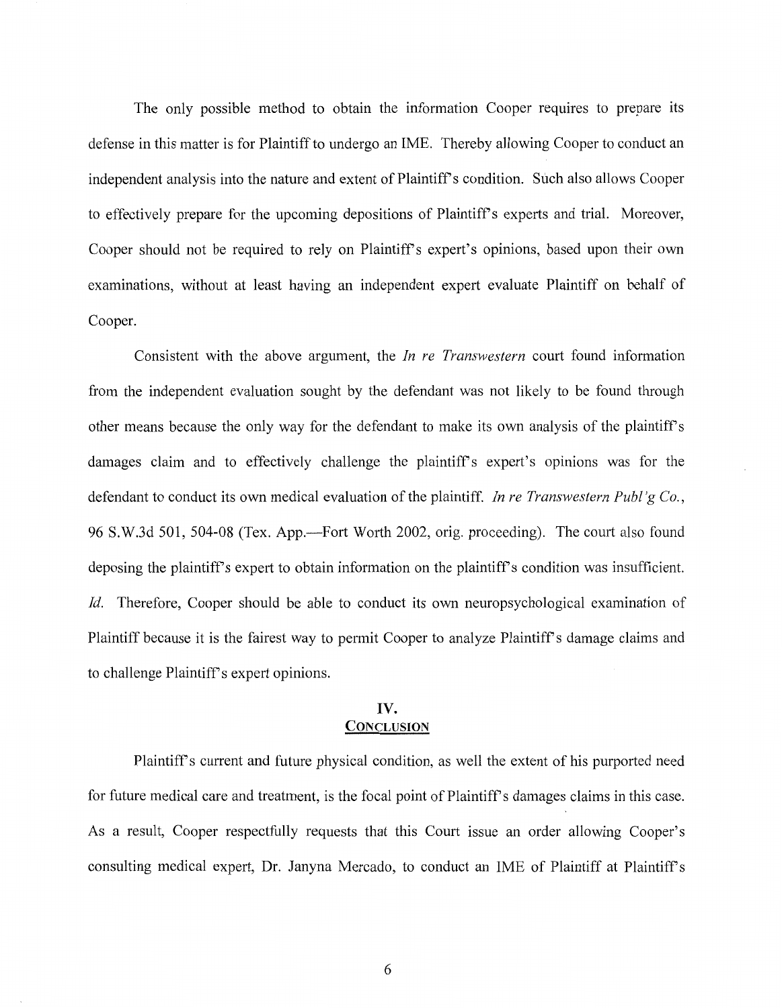The only possible method to obtain the information Cooper requires to prepare its defense in this matter is for Plaintiff to undergo an IME. Thereby allowing Cooper to conduct an independent analysis into the nature and extent of Plaintiff's condition. Such also allows Cooper to effectively prepare for the upcoming depositions of Plaintiff's experts and trial. Moreover, Cooper should not be required to rely on Plaintiff's expert's opinions, based upon their own examinations, without at least having an independent expert evaluate Plaintiff on behalf of Cooper.

Consistent with the above argument, the *In re Transwestern* court found information from the independent evaluation sought by the defendant was not likely to be found through other means because the only way for the defendant to make its own analysis of the plaintiff's damages claim and to effectively challenge the plaintiff's expert's opinions was for the defendant to conduct its own medical evaluation of the plaintiff. *In re Transwestern Publ'g Co.,*  96 S.W.3d 501, 504-08 (Tex. App.—Fort Worth 2002, orig. proceeding). The court also found deposing the plaintiff's expert to obtain information on the plaintiff's condition was insufficient. *Id.* Therefore, Cooper should be able to conduct its own neuropsychological examination of Plaintiff because it is the fairest way to permit Cooper to analyze Plaintiff's damage claims and to challenge Plaintiff's expert opinions.

### IV. **CONCLUSION**

Plaintiff's current and future physical condition, as well the extent of his purported need for future medical care and treatment, is the focal point of Plaintiff's damages claims in this case. As a result, Cooper respectfully requests that this Court issue an order allowing Cooper's consulting medical expert, Dr. Janyna Mercado, to conduct an IME of Plaintiff at Plaintiffs

6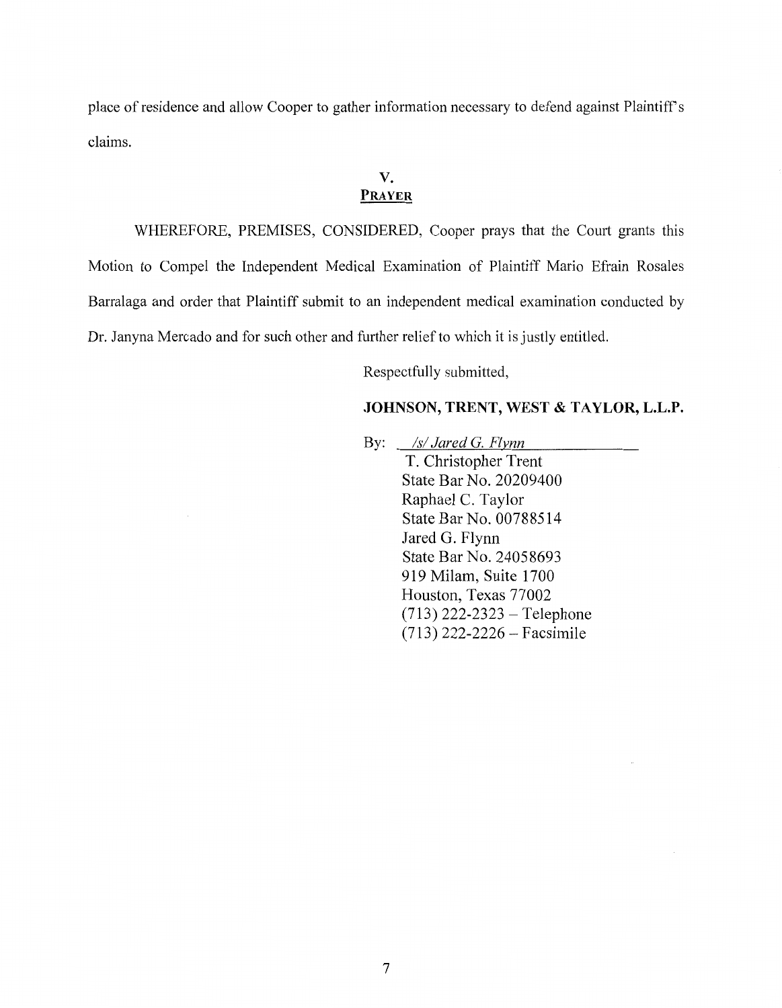place of residence and allow Cooper to gather information necessary to defend against Plaintiff's claims.

## V. PRAYER

WHEREFORE, PREMISES, CONSIDERED, Cooper prays that the Court grants this Motion to Compel the Independent Medical Examination of Plaintiff Mario Efrain Rosales Barralaga and order that Plaintiff submit to an independent medical examination conducted by Dr. Janyna Mercado and for such other and further relief to which it is justly entitled.

Respectfully submitted,

## JOHNSON, TRENT, WEST & TAYLOR, L.L.P.

By: */s/ Jared G. Flynn*  T. Christopher Trent State Bar No. 20209400 Raphael C. Taylor State Bar No. 00788514 Jared G. Flynn State Bar No. 24058693 919 Milam, Suite 1700 Houston, Texas 77002 (713) 222-2323 — Telephone (713) 222-2226 — Facsimile